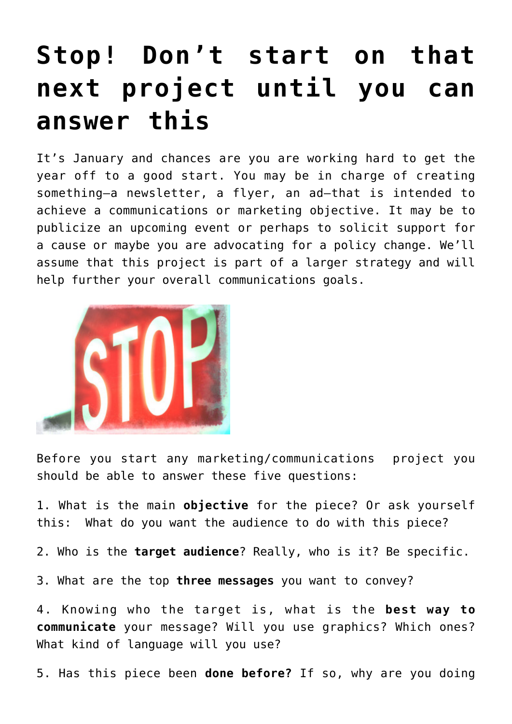## **[Stop! Don't start on that](https://deborahbrody.com/2014/01/stop-dont-start-on-that-next-project-until-you-can-answer-this/) [next project until you can](https://deborahbrody.com/2014/01/stop-dont-start-on-that-next-project-until-you-can-answer-this/) [answer this](https://deborahbrody.com/2014/01/stop-dont-start-on-that-next-project-until-you-can-answer-this/)**

It's January and chances are you are working hard to get the year off to a good start. You may be in charge of creating something–a newsletter, a flyer, an ad–that is intended to achieve a communications or marketing objective. It may be to publicize an upcoming event or perhaps to solicit support for a cause or maybe you are advocating for a policy change. We'll assume that this project is part of a larger strategy and will help further your overall communications goals.



Before you start any marketing/communications project you should be able to answer these five questions:

1. What is the main **objective** for the piece? Or ask yourself this: What do you want the audience to do with this piece?

2. Who is the **target audience**? Really, who is it? Be specific.

3. What are the top **three messages** you want to convey?

4. Knowing who the target is, what is the **best way to communicate** your message? Will you use graphics? Which ones? What kind of language will you use?

5. Has this piece been **done before?** If so, why are you doing